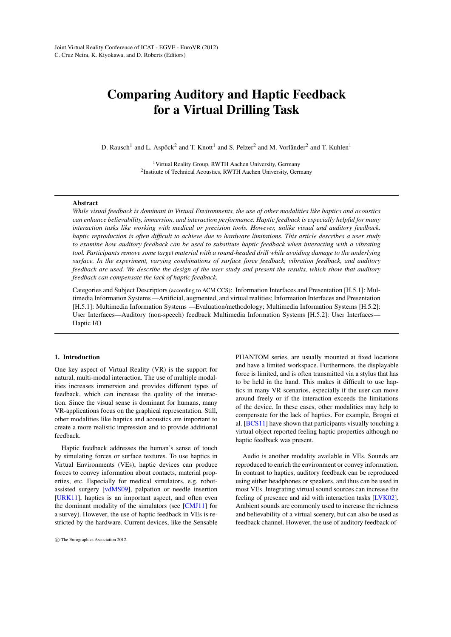# <span id="page-0-0"></span>Comparing Auditory and Haptic Feedback for a Virtual Drilling Task

D. Rausch<sup>1</sup> and L. Aspöck<sup>2</sup> and T. Knott<sup>1</sup> and S. Pelzer<sup>2</sup> and M. Vorländer<sup>2</sup> and T. Kuhlen<sup>1</sup>

<sup>1</sup> Virtual Reality Group, RWTH Aachen University, Germany <sup>2</sup> Institute of Technical Acoustics, RWTH Aachen University, Germany

#### Abstract

*While visual feedback is dominant in Virtual Environments, the use of other modalities like haptics and acoustics can enhance believability, immersion, and interaction performance. Haptic feedback is especially helpful for many interaction tasks like working with medical or precision tools. However, unlike visual and auditory feedback, haptic reproduction is often difficult to achieve due to hardware limitations. This article describes a user study to examine how auditory feedback can be used to substitute haptic feedback when interacting with a vibrating tool. Participants remove some target material with a round-headed drill while avoiding damage to the underlying surface. In the experiment, varying combinations of surface force feedback, vibration feedback, and auditory feedback are used. We describe the design of the user study and present the results, which show that auditory feedback can compensate the lack of haptic feedback.*

Categories and Subject Descriptors (according to ACM CCS): Information Interfaces and Presentation [H.5.1]: Multimedia Information Systems —Artificial, augmented, and virtual realities; Information Interfaces and Presentation [H.5.1]: Multimedia Information Systems —Evaluation/methodology; Multimedia Information Systems [H.5.2]: User Interfaces—Auditory (non-speech) feedback Multimedia Information Systems [H.5.2]: User Interfaces— Haptic I/O

#### 1. Introduction

One key aspect of Virtual Reality (VR) is the support for natural, multi-modal interaction. The use of multiple modalities increases immersion and provides different types of feedback, which can increase the quality of the interaction. Since the visual sense is dominant for humans, many VR-applications focus on the graphical representation. Still, other modalities like haptics and acoustics are important to create a more realistic impression and to provide additional feedback.

Haptic feedback addresses the human's sense of touch by simulating forces or surface textures. To use haptics in Virtual Environments (VEs), haptic devices can produce forces to convey information about contacts, material properties, etc. Especially for medical simulators, e.g. robotassisted surgery [\[vdMS09\]](#page-7-0), palpation or needle insertion [\[URK11\]](#page-7-1), haptics is an important aspect, and often even the dominant modality of the simulators (see [\[CMJ11\]](#page-7-2) for a survey). However, the use of haptic feedback in VEs is restricted by the hardware. Current devices, like the Sensable PHANTOM series, are usually mounted at fixed locations and have a limited workspace. Furthermore, the displayable force is limited, and is often transmitted via a stylus that has to be held in the hand. This makes it difficult to use haptics in many VR scenarios, especially if the user can move around freely or if the interaction exceeds the limitations of the device. In these cases, other modalities may help to compensate for the lack of haptics. For example, Brogni et al. [\[BCS11\]](#page-7-3) have shown that participants visually touching a virtual object reported feeling haptic properties although no haptic feedback was present.

Audio is another modality available in VEs. Sounds are reproduced to enrich the environment or convey information. In contrast to haptics, auditory feedback can be reproduced using either headphones or speakers, and thus can be used in most VEs. Integrating virtual sound sources can increase the feeling of presence and aid with interaction tasks [\[LVK02\]](#page-7-4). Ambient sounds are commonly used to increase the richness and believability of a virtual scenery, but can also be used as feedback channel. However, the use of auditory feedback of-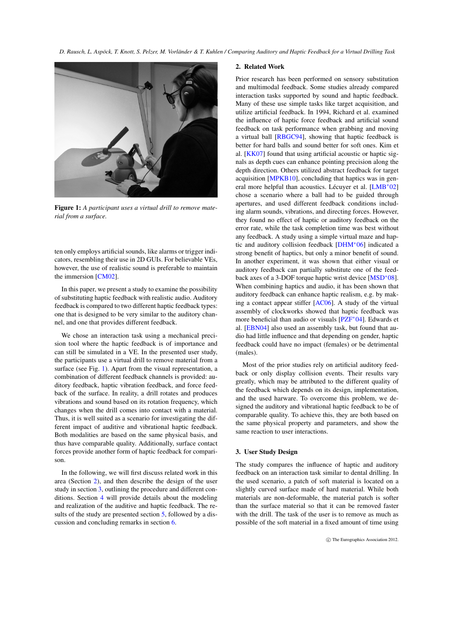<span id="page-1-3"></span>

Figure 1: *A participant uses a virtual drill to remove material from a surface.*

<span id="page-1-0"></span>ten only employs artificial sounds, like alarms or trigger indicators, resembling their use in 2D GUIs. For believable VEs, however, the use of realistic sound is preferable to maintain the immersion [\[CM02\]](#page-7-5).

In this paper, we present a study to examine the possibility of substituting haptic feedback with realistic audio. Auditory feedback is compared to two different haptic feedback types: one that is designed to be very similar to the auditory channel, and one that provides different feedback.

We chose an interaction task using a mechanical precision tool where the haptic feedback is of importance and can still be simulated in a VE. In the presented user study, the participants use a virtual drill to remove material from a surface (see Fig. [1\)](#page-1-0). Apart from the visual representation, a combination of different feedback channels is provided: auditory feedback, haptic vibration feedback, and force feedback of the surface. In reality, a drill rotates and produces vibrations and sound based on its rotation frequency, which changes when the drill comes into contact with a material. Thus, it is well suited as a scenario for investigating the different impact of auditive and vibrational haptic feedback. Both modalities are based on the same physical basis, and thus have comparable quality. Additionally, surface contact forces provide another form of haptic feedback for comparison.

In the following, we will first discuss related work in this area (Section [2\)](#page-1-1), and then describe the design of the user study in section [3,](#page-1-2) outlining the procedure and different conditions. Section [4](#page-2-0) will provide details about the modeling and realization of the auditive and haptic feedback. The results of the study are presented section [5,](#page-4-0) followed by a discussion and concluding remarks in section [6.](#page-6-0)

#### <span id="page-1-1"></span>2. Related Work

Prior research has been performed on sensory substitution and multimodal feedback. Some studies already compared interaction tasks supported by sound and haptic feedback. Many of these use simple tasks like target acquisition, and utilize artificial feedback. In 1994, Richard et al. examined the influence of haptic force feedback and artificial sound feedback on task performance when grabbing and moving a virtual ball [\[RBGC94\]](#page-7-6), showing that haptic feedback is better for hard balls and sound better for soft ones. Kim et al. [\[KK07\]](#page-7-7) found that using artificial acoustic or haptic signals as depth cues can enhance pointing precision along the depth direction. Others utilized abstract feedback for target acquisition [\[MPKB10\]](#page-7-8), concluding that haptics was in general more helpful than acoustics. Lécuyer et al. [\[LMB](#page-7-9)∗02] chose a scenario where a ball had to be guided through apertures, and used different feedback conditions including alarm sounds, vibrations, and directing forces. However, they found no effect of haptic or auditory feedback on the error rate, while the task completion time was best without any feedback. A study using a simple virtual maze and haptic and auditory collision feedback [\[DHM](#page-7-10)∗06] indicated a strong benefit of haptics, but only a minor benefit of sound. In another experiment, it was shown that either visual or auditory feedback can partially substitute one of the feedback axes of a 3-DOF torque haptic wrist device [\[MSD](#page-7-11)∗08]. When combining haptics and audio, it has been shown that auditory feedback can enhance haptic realism, e.g. by making a contact appear stiffer [\[AC06\]](#page-7-12). A study of the virtual assembly of clockworks showed that haptic feedback was more beneficial than audio or visuals [\[PZF](#page-7-13)∗04]. Edwards et al. [\[EBN04\]](#page-7-14) also used an assembly task, but found that audio had little influence and that depending on gender, haptic feedback could have no impact (females) or be detrimental (males).

Most of the prior studies rely on artificial auditory feedback or only display collision events. Their results vary greatly, which may be attributed to the different quality of the feedback which depends on its design, implementation, and the used harware. To overcome this problem, we designed the auditory and vibrational haptic feedback to be of comparable quality. To achieve this, they are both based on the same physical property and parameters, and show the same reaction to user interactions.

## <span id="page-1-2"></span>3. User Study Design

The study compares the influence of haptic and auditory feedback on an interaction task similar to dental drilling. In the used scenario, a patch of soft material is located on a slightly curved surface made of hard material. While both materials are non-deformable, the material patch is softer than the surface material so that it can be removed faster with the drill. The task of the user is to remove as much as possible of the soft material in a fixed amount of time using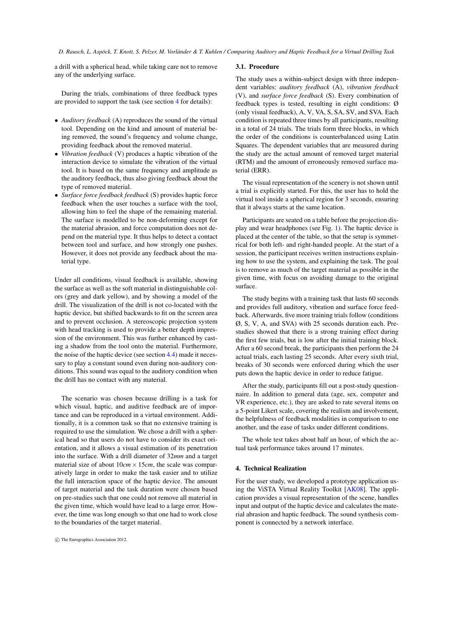<span id="page-2-1"></span>a drill with a spherical head, while taking care not to remove any of the underlying surface.

During the trials, combinations of three feedback types are provided to support the task (see section [4](#page-2-0) for details):

- *Auditory feedback* (A) reproduces the sound of the virtual tool. Depending on the kind and amount of material being removed, the sound's frequency and volume change, providing feedback about the removed material.
- *Vibration feedback* (V) produces a haptic vibration of the interaction device to simulate the vibration of the virtual tool. It is based on the same frequency and amplitude as the auditory feedback, thus also giving feedback about the type of removed material.
- *Surface force feedback feedback* (S) provides haptic force feedback when the user touches a surface with the tool, allowing him to feel the shape of the remaining material. The surface is modelled to be non-deforming except for the material abrasion, and force computation does not depend on the material type. It thus helps to detect a contact between tool and surface, and how strongly one pushes. However, it does not provide any feedback about the material type.

Under all conditions, visual feedback is available, showing the surface as well as the soft material in distinguishable colors (grey and dark yellow), and by showing a model of the drill. The visualization of the drill is not co-located with the haptic device, but shifted backwards to fit on the screen area and to prevent occlusion. A stereoscopic projection system with head tracking is used to provide a better depth impression of the environment. This was further enhanced by casting a shadow from the tool onto the material. Furthermore, the noise of the haptic device (see section [4.4\)](#page-4-1) made it necessary to play a constant sound even during non-auditory conditions. This sound was equal to the auditory condition when the drill has no contact with any material.

The scenario was chosen because drilling is a task for which visual, haptic, and auditive feedback are of importance and can be reproduced in a virtual environment. Additionally, it is a common task so that no extensive training is required to use the simulation. We chose a drill with a spherical head so that users do not have to consider its exact orientation, and it allows a visual estimation of its penetration into the surface. With a drill diameter of 32*mm* and a target material size of about  $10cm \times 15cm$ , the scale was comparatively large in order to make the task easier and to utilize the full interaction space of the haptic device. The amount of target material and the task duration were chosen based on pre-studies such that one could not remove all material in the given time, which would have lead to a large error. However, the time was long enough so that one had to work close to the boundaries of the target material.

## 3.1. Procedure

The study uses a within-subject design with three independent variables: *auditory feedback* (A), *vibration feedback* (V), and *surface force feedback* (S). Every combination of feedback types is tested, resulting in eight conditions: Ø (only visual feedback), A, V, VA, S, SA, SV, and SVA. Each condition is repeated three times by all participants, resulting in a total of 24 trials. The trials form three blocks, in which the order of the conditions is counterbalanced using Latin Squares. The dependent variables that are measured during the study are the actual amount of removed target material (RTM) and the amount of erroneously removed surface material (ERR).

The visual representation of the scenery is not shown until a trial is explicitly started. For this, the user has to hold the virtual tool inside a spherical region for 3 seconds, ensuring that it always starts at the same location.

Participants are seated on a table before the projection display and wear headphones (see Fig. [1\)](#page-1-0). The haptic device is placed at the center of the table, so that the setup is symmetrical for both left- and right-handed people. At the start of a session, the participant receives written instructions explaining how to use the system, and explaining the task. The goal is to remove as much of the target material as possible in the given time, with focus on avoiding damage to the original surface.

The study begins with a training task that lasts 60 seconds and provides full auditory, vibration and surface force feedback. Afterwards, five more training trials follow (conditions Ø, S, V, A, and SVA) with 25 seconds duration each. Prestudies showed that there is a strong training effect during the first few trials, but is low after the initial training block. After a 60 second break, the participants then perform the 24 actual trials, each lasting 25 seconds. After every sixth trial, breaks of 30 seconds were enforced during which the user puts down the haptic device in order to reduce fatigue.

After the study, participants fill out a post-study questionnaire. In addition to general data (age, sex, computer and VR experience, etc.), they are asked to rate several items on a 5-point Likert scale, covering the realism and involvement, the helpfulness of feedback modalities in comparison to one another, and the ease of tasks under different conditions.

The whole test takes about half an hour, of which the actual task performance takes around 17 minutes.

# <span id="page-2-0"></span>4. Technical Realization

For the user study, we developed a prototype application using the ViSTA Virtual Reality Toolkit [\[AK08\]](#page-7-15). The application provides a visual representation of the scene, handles input and output of the haptic device and calculates the material abrasion and haptic feedback. The sound synthesis component is connected by a network interface.

c The Eurographics Association 2012.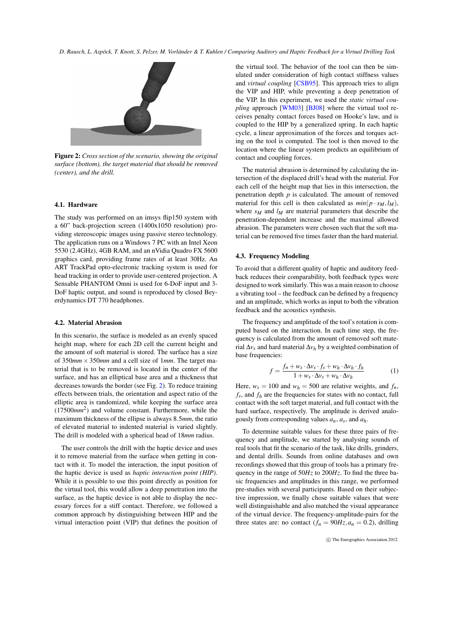<span id="page-3-1"></span>

<span id="page-3-0"></span>Figure 2: *Cross section of the scenario, showing the original surface (bottom), the target material that should be removed (center), and the drill.*

## 4.1. Hardware

The study was performed on an imsys flip150 system with a 60" back-projection screen (1400x1050 resolution) providing stereoscopic images using passive stereo technology. The application runs on a Windows 7 PC with an Intel Xeon 5530 (2.4GHz), 4GB RAM, and an nVidia Quadro FX 5600 graphics card, providing frame rates of at least 30Hz. An ART TrackPad opto-electronic tracking system is used for head tracking in order to provide user-centered projection. A Sensable PHANTOM Omni is used for 6-DoF input and 3- DoF haptic output, and sound is reproduced by closed Beyerdynamics DT 770 headphones.

## 4.2. Material Abrasion

In this scenario, the surface is modeled as an evenly spaced height map, where for each 2D cell the current height and the amount of soft material is stored. The surface has a size of 350*mm*×350*mm* and a cell size of 1*mm*. The target material that is to be removed is located in the center of the surface, and has an elliptical base area and a thickness that decreases towards the border (see Fig. [2\)](#page-3-0). To reduce training effects between trials, the orientation and aspect ratio of the elliptic area is randomized, while keeping the surface area (17500*mm*<sup>2</sup> ) and volume constant. Furthermore, while the maximum thickness of the ellipse is always 8.5*mm*, the ratio of elevated material to indented material is varied slightly. The drill is modeled with a spherical head of 18*mm* radius.

The user controls the drill with the haptic device and uses it to remove material from the surface when getting in contact with it. To model the interaction, the input position of the haptic device is used as *haptic interaction point (HIP)*. While it is possible to use this point directly as position for the virtual tool, this would allow a deep penetration into the surface, as the haptic device is not able to display the necessary forces for a stiff contact. Therefore, we followed a common approach by distinguishing between HIP and the virtual interaction point (VIP) that defines the position of

the virtual tool. The behavior of the tool can then be simulated under consideration of high contact stiffness values and *virtual coupling* [\[CSB95\]](#page-7-16). This approach tries to align the VIP and HIP, while preventing a deep penetration of the VIP. In this experiment, we used the *static virtual coupling* approach [\[WM03\]](#page-7-17) [\[BJ08\]](#page-7-18) where the virtual tool receives penalty contact forces based on Hooke's law, and is coupled to the HIP by a generalized spring. In each haptic cycle, a linear approximation of the forces and torques acting on the tool is computed. The tool is then moved to the location where the linear system predicts an equilibrium of contact and coupling forces.

The material abrasion is determined by calculating the intersection of the displaced drill's head with the material. For each cell of the height map that lies in this intersection, the penetration depth *p* is calculated. The amount of removed material for this cell is then calculated as  $min(p \cdot s_M, l_M)$ , where  $s_M$  and  $l_M$  are material parameters that describe the penetration-dependent increase and the maximal allowed abrasion. The parameters were chosen such that the soft material can be removed five times faster than the hard material.

#### 4.3. Frequency Modeling

To avoid that a different quality of haptic and auditory feedback reduces their comparability, both feedback types were designed to work similarly. This was a main reason to choose a vibrating tool – the feedback can be defined by a frequency and an amplitude, which works as input to both the vibration feedback and the acoustics synthesis.

The frequency and amplitude of the tool's rotation is computed based on the interaction. In each time step, the frequency is calculated from the amount of removed soft material ∆*v<sup>s</sup>* and hard material ∆*v<sup>h</sup>* by a weighted combination of base frequencies:

$$
f = \frac{f_n + w_s \cdot \Delta v_s \cdot f_s + w_h \cdot \Delta v_h \cdot f_h}{1 + w_s \cdot \Delta v_s + w_h \cdot \Delta v_h}
$$
 (1)

Here,  $w_s = 100$  and  $w_h = 500$  are relative weights, and  $f_h$ ,  $f_s$ , and  $f_h$  are the frequencies for states with no contact, full contact with the soft target material, and full contact with the hard surface, respectively. The amplitude is derived analogously from corresponding values  $a_n$ ,  $a_s$ , and  $a_h$ .

To determine suitable values for these three pairs of frequency and amplitude, we started by analysing sounds of real tools that fit the scenario of the task, like drills, grinders, and dental drills. Sounds from online databases and own recordings showed that this group of tools has a primary frequency in the range of 50*Hz* to 200*Hz*. To find the three basic frequencies and amplitudes in this range, we performed pre-studies with several participants. Based on their subjective impression, we finally chose suitable values that were well distinguishable and also matched the visual appearance of the virtual device. The frequency-amplitude-pairs for the three states are: no contact  $(f_n = 90Hz, a_n = 0.2)$ , drilling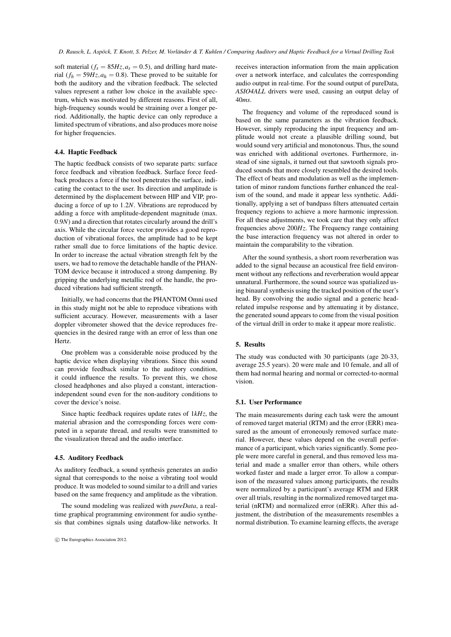soft material ( $f_s = 85Hz$ ,  $a_s = 0.5$ ), and drilling hard material ( $f_h = 59Hz$ ,  $a_h = 0.8$ ). These proved to be suitable for both the auditory and the vibration feedback. The selected values represent a rather low choice in the available spectrum, which was motivated by different reasons. First of all, high-frequency sounds would be straining over a longer period. Additionally, the haptic device can only reproduce a limited spectrum of vibrations, and also produces more noise for higher frequencies.

# <span id="page-4-1"></span>4.4. Haptic Feedback

The haptic feedback consists of two separate parts: surface force feedback and vibration feedback. Surface force feedback produces a force if the tool penetrates the surface, indicating the contact to the user. Its direction and amplitude is determined by the displacement between HIP and VIP, producing a force of up to 1.2*N*. Vibrations are reproduced by adding a force with amplitude-dependent magnitude (max. 0.9*N*) and a direction that rotates circularly around the drill's axis. While the circular force vector provides a good reproduction of vibrational forces, the amplitude had to be kept rather small due to force limitations of the haptic device. In order to increase the actual vibration strength felt by the users, we had to remove the detachable handle of the PHAN-TOM device because it introduced a strong dampening. By gripping the underlying metallic rod of the handle, the produced vibrations had sufficient strength.

Initially, we had concerns that the PHANTOM Omni used in this study might not be able to reproduce vibrations with sufficient accuracy. However, measurements with a laser doppler vibrometer showed that the device reproduces frequencies in the desired range with an error of less than one Hertz.

One problem was a considerable noise produced by the haptic device when displaying vibrations. Since this sound can provide feedback similar to the auditory condition, it could influence the results. To prevent this, we chose closed headphones and also played a constant, interactionindependent sound even for the non-auditory conditions to cover the device's noise.

Since haptic feedback requires update rates of 1*kHz*, the material abrasion and the corresponding forces were computed in a separate thread, and results were transmitted to the visualization thread and the audio interface.

#### 4.5. Auditory Feedback

As auditory feedback, a sound synthesis generates an audio signal that corresponds to the noise a vibrating tool would produce. It was modeled to sound similar to a drill and varies based on the same frequency and amplitude as the vibration.

The sound modeling was realized with *pureData*, a realtime graphical programming environment for audio synthesis that combines signals using dataflow-like networks. It receives interaction information from the main application over a network interface, and calculates the corresponding audio output in real-time. For the sound output of pureData, *ASIO4ALL* drivers were used, causing an output delay of 40*ms*.

The frequency and volume of the reproduced sound is based on the same parameters as the vibration feedback. However, simply reproducing the input frequency and amplitude would not create a plausible drilling sound, but would sound very artificial and monotonous. Thus, the sound was enriched with additional overtones. Furthermore, instead of sine signals, it turned out that sawtooth signals produced sounds that more closely resembled the desired tools. The effect of beats and modulation as well as the implementation of minor random functions further enhanced the realism of the sound, and made it appear less synthetic. Additionally, applying a set of bandpass filters attenuated certain frequency regions to achieve a more harmonic impression. For all these adjustments, we took care that they only affect frequencies above 200*Hz*. The Frequency range containing the base interaction frequency was not altered in order to maintain the comparability to the vibration.

After the sound synthesis, a short room reverberation was added to the signal because an acoustical free field environment without any reflections and reverberation would appear unnatural. Furthermore, the sound source was spatialized using binaural synthesis using the tracked position of the user's head. By convolving the audio signal and a generic headrelated impulse response and by attenuating it by distance, the generated sound appears to come from the visual position of the virtual drill in order to make it appear more realistic.

# <span id="page-4-0"></span>5. Results

The study was conducted with 30 participants (age 20-33, average 25.5 years). 20 were male and 10 female, and all of them had normal hearing and normal or corrected-to-normal vision.

## 5.1. User Performance

The main measurements during each task were the amount of removed target material (RTM) and the error (ERR) measured as the amount of erroneously removed surface material. However, these values depend on the overall performance of a participant, which varies significantly. Some people were more careful in general, and thus removed less material and made a smaller error than others, while others worked faster and made a larger error. To allow a comparison of the measured values among participants, the results were normalized by a participant's average RTM and ERR over all trials, resulting in the normalized removed target material (nRTM) and normalized error (nERR). After this adjustment, the distribution of the measurements resembles a normal distribution. To examine learning effects, the average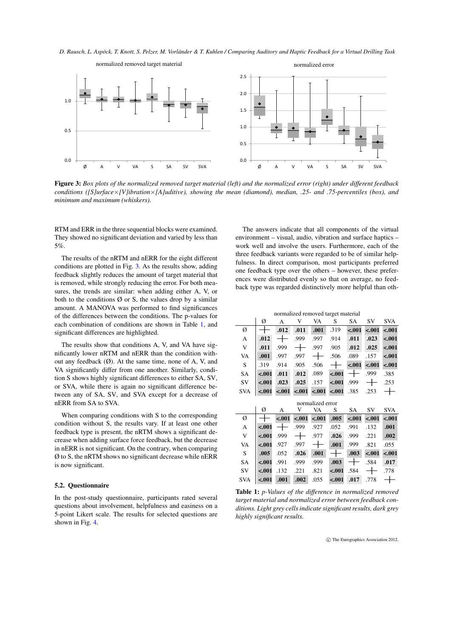*D. Rausch, L. Aspöck, T. Knott, S. Pelzer, M. Vorländer & T. Kuhlen / Comparing Auditory and Haptic Feedback for a Virtual Drilling Task*



<span id="page-5-0"></span>Figure 3: *Box plots of the normalized removed target material (left) and the normalized error (right) under different feedback conditions ([S]urface*×*[V]ibration*×*[A]uditive), showing the mean (diamond), median, .25- and .75-percentiles (box), and minimum and maximum (whiskers).*

RTM and ERR in the three sequential blocks were examined. They showed no significant deviation and varied by less than 5%.

The results of the nRTM and nERR for the eight different conditions are plotted in Fig. [3.](#page-5-0) As the results show, adding feedback slightly reduces the amount of target material that is removed, while strongly reducing the error. For both measures, the trends are similar: when adding either A, V, or both to the conditions  $\emptyset$  or S, the values drop by a similar amount. A MANOVA was performed to find significances of the differences between the conditions. The p-values for each combination of conditions are shown in Table [1,](#page-5-1) and significant differences are highlighted.

The results show that conditions A, V, and VA have significantly lower nRTM and nERR than the condition without any feedback  $(\emptyset)$ . At the same time, none of A, V, and VA significantly differ from one another. Similarly, condition S shows highly significant differences to either SA, SV, or SVA, while there is again no significant difference between any of SA, SV, and SVA except for a decrease of nERR from SA to SVA.

When comparing conditions with S to the corresponding condition without S, the results vary. If at least one other feedback type is present, the nRTM shows a significant decrease when adding surface force feedback, but the decrease in nERR is not significant. On the contrary, when comparing Ø to S, the nRTM shows no significant decrease while nERR is now significant.

### 5.2. Questionnaire

In the post-study questionnaire, participants rated several questions about involvement, helpfulness and easiness on a 5-point Likert scale. The results for selected questions are shown in Fig. [4.](#page-6-1)

The answers indicate that all components of the virtual environment – visual, audio, vibration and surface haptics – work well and involve the users. Furthermore, each of the three feedback variants were regarded to be of similar helpfulness. In direct comparison, most participants preferred one feedback type over the others – however, these preferences were distributed evenly so that on average, no feedback type was regarded distinctively more helpful than oth-

| normalized removed target material |         |         |         |         |         |           |         |            |
|------------------------------------|---------|---------|---------|---------|---------|-----------|---------|------------|
|                                    | Ø       | A       | V       | VA      | S       | <b>SA</b> | SV      | <b>SVA</b> |
| Ø                                  |         | .012    | .011    | .001    | .319    | $-.001$   | $-.001$ | $-.001$    |
| A                                  | .012    |         | .999    | .997    | .914    | .011      | .023    | $-.001$    |
| V                                  | .011    | .999    |         | .997    | .905    | .012      | .025    | $-.001$    |
| VA                                 | .001    | .997    | .997    |         | .506    | .089      | .157    | $-.001$    |
| S                                  | .319    | .914    | .905    | .506    |         | $-.001$   | $-.001$ | $-.001$    |
| <b>SA</b>                          | $-.001$ | .011    | .012    | .089    | $-.001$ |           | .999    | .385       |
| SV                                 | $-.001$ | .023    | .025    | .157    | $-.001$ | .999      |         | .253       |
| <b>SVA</b>                         | $-.001$ | $-.001$ | $-.001$ | $-.001$ | $-.001$ | .385      | .253    |            |
| normalized error                   |         |         |         |         |         |           |         |            |
|                                    | Ø       | А       | V       | VA      | S       | SA        | SV      | <b>SVA</b> |
| Ø                                  |         | $-.001$ | $-.001$ | $-.001$ | .005    | $-.001$   | $-.001$ | $-.001$    |
| A                                  | $-.001$ |         | .999    | .927    | .052    | .991      | .132    | .001       |
| V                                  | $-.001$ | .999    |         | .977    | .026    | .999      | .221    | .002       |
| VA                                 | $-.001$ | .927    | .997    |         | .001    | .999      | .821    | .055       |
| S                                  | .005    | .052    | .026    | .001    |         | .003      | $-.001$ | $-.001$    |
| <b>SA</b>                          | $-.001$ | .991    | .999    | .999    | .003    |           | .584    | .017       |
| SV                                 |         |         |         |         |         |           |         |            |
|                                    | $-.001$ | .132    | .221    | .821    | $-.001$ | .584      |         | .778       |

<span id="page-5-1"></span>Table 1: *p-Values of the difference in normalized removed target material and normalized error between feedback conditions. Light grey cells indicate significant results, dark grey highly significant results.*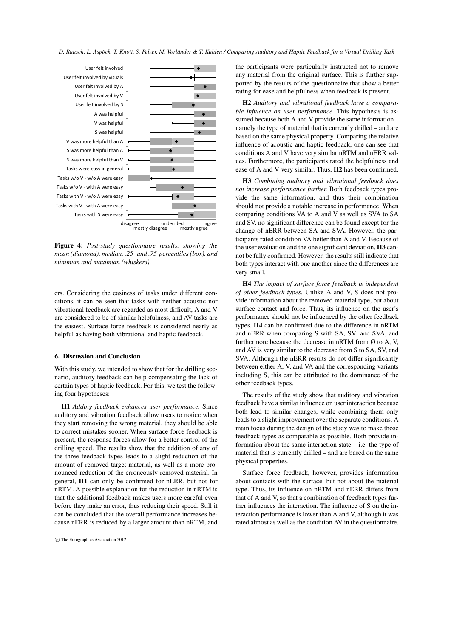

<span id="page-6-1"></span>Figure 4: *Post-study questionnaire results, showing the mean (diamond), median, .25- and .75-percentiles (box), and minimum and maximum (whiskers).*

ers. Considering the easiness of tasks under different conditions, it can be seen that tasks with neither acoustic nor vibrational feedback are regarded as most difficult, A and V are considered to be of similar helpfulness, and AV-tasks are the easiest. Surface force feedback is considered nearly as helpful as having both vibrational and haptic feedback.

#### <span id="page-6-0"></span>6. Discussion and Conclusion

With this study, we intended to show that for the drilling scenario, auditory feedback can help compensating the lack of certain types of haptic feedback. For this, we test the following four hypotheses:

H1 *Adding feedback enhances user performance.* Since auditory and vibration feedback allow users to notice when they start removing the wrong material, they should be able to correct mistakes sooner. When surface force feedback is present, the response forces allow for a better control of the drilling speed. The results show that the addition of any of the three feedback types leads to a slight reduction of the amount of removed target material, as well as a more pronounced reduction of the erroneously removed material. In general, H1 can only be confirmed for nERR, but not for nRTM. A possible explanation for the reduction in nRTM is that the additional feedback makes users more careful even before they make an error, thus reducing their speed. Still it can be concluded that the overall performance increases because nERR is reduced by a larger amount than nRTM, and

the participants were particularly instructed not to remove any material from the original surface. This is further supported by the results of the questionnaire that show a better rating for ease and helpfulness when feedback is present.

H2 *Auditory and vibrational feedback have a comparable influence on user performance.* This hypothesis is assumed because both A and V provide the same information – namely the type of material that is currently drilled – and are based on the same physical property. Comparing the relative influence of acoustic and haptic feedback, one can see that conditions A and V have very similar nRTM and nERR values. Furthermore, the participants rated the helpfulness and ease of A and V very similar. Thus, H2 has been confirmed.

H3 *Combining auditory and vibrational feedback does not increase performance further.* Both feedback types provide the same information, and thus their combination should not provide a notable increase in performance. When comparing conditions VA to A and V as well as SVA to SA and SV, no significant difference can be found except for the change of nERR between SA and SVA. However, the participants rated condition VA better than A and V. Because of the user evaluation and the one significant deviation, H3 cannot be fully confirmed. However, the results still indicate that both types interact with one another since the differences are very small.

H4 *The impact of surface force feedback is independent of other feedback types.* Unlike A and V, S does not provide information about the removed material type, but about surface contact and force. Thus, its influence on the user's performance should not be influenced by the other feedback types. H4 can be confirmed due to the difference in nRTM and nERR when comparing S with SA, SV, and SVA, and furthermore because the decrease in nRTM from  $\emptyset$  to A, V, and AV is very similar to the decrease from S to SA, SV, and SVA. Although the nERR results do not differ significantly between either A, V, and VA and the corresponding variants including S, this can be attributed to the dominance of the other feedback types.

The results of the study show that auditory and vibration feedback have a similar influence on user interaction because both lead to similar changes, while combining them only leads to a slight improvement over the separate conditions. A main focus during the design of the study was to make those feedback types as comparable as possible. Both provide information about the same interaction state – i.e. the type of material that is currently drilled – and are based on the same physical properties.

Surface force feedback, however, provides information about contacts with the surface, but not about the material type. Thus, its influence on nRTM and nERR differs from that of A and V, so that a combination of feedback types further influences the interaction. The influence of S on the interaction performance is lower than A and V, although it was rated almost as well as the condition AV in the questionnaire.

c The Eurographics Association 2012.